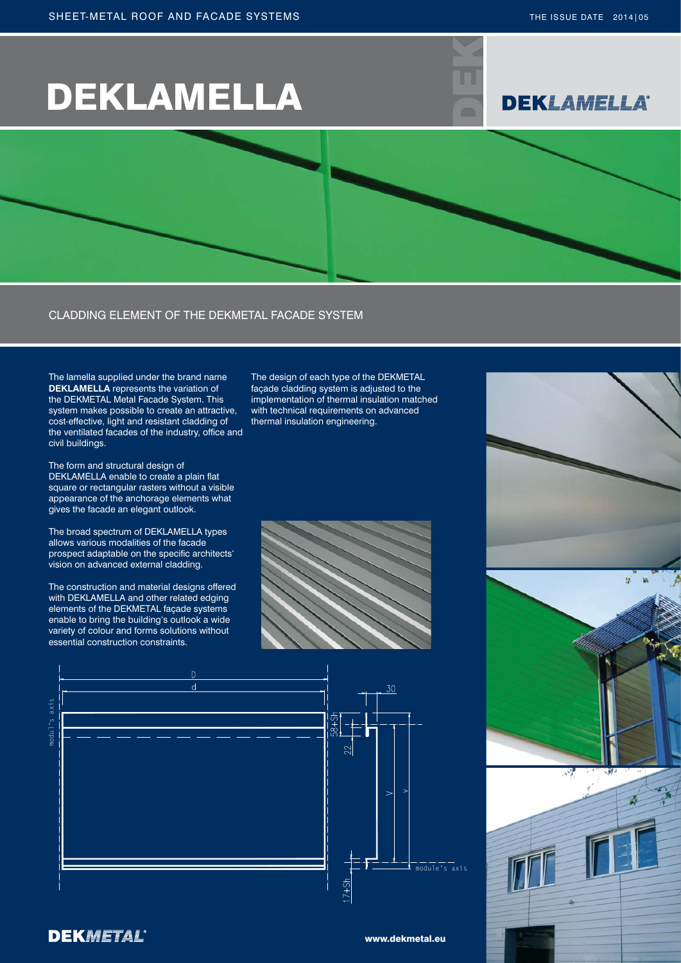# DEKLAMELLA





The design of each type of the DEKMETAL façade cladding system is adjusted to the implementation of thermal insulation matched with technical requirements on advanced

thermal insulation engineering.

#### CLADDING ELEMENT OF THE DEKMETAL FACADE SYSTEM

The lamella supplied under the brand name **DEKLAMELLA** represents the variation of the DEKMETAL Metal Facade System. This system makes possible to create an attractive, cost-effective, light and resistant cladding of the ventilated facades of the industry, office and civil buildings.

The form and structural design of DEKLAMELLA enable to create a plain flat square or rectangular rasters without a visible appearance of the anchorage elements what gives the facade an elegant outlook.

The broad spectrum of DEKLAMELLA types allows various modalities of the facade prospect adaptable on the specific architects' vision on advanced external cladding.

The construction and material designs offered with DEKLAMELLA and other related edging elements of the DEKMETAL façade systems enable to bring the building's outlook a wide variety of colour and forms solutions without essential construction constraints.







#### **DEKMETAL®**